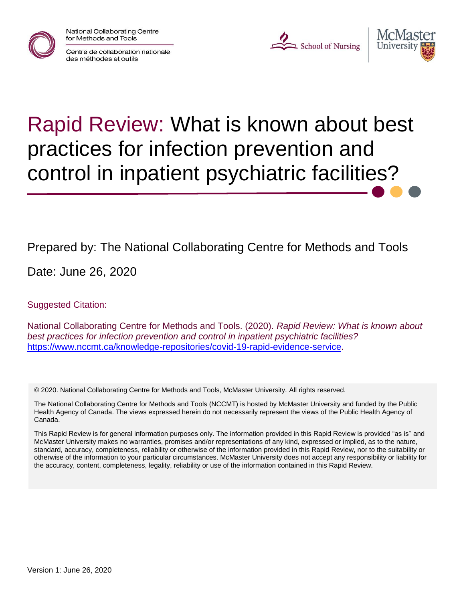National Collaborating Centre for Methods and Tools



Centre de collaboration nationale des méthodes et outils

L School of Nursing



# Rapid Review: What is known about best practices for infection prevention and control in inpatient psychiatric facilities?

### Prepared by: The National Collaborating Centre for Methods and Tools

Date: June 26, 2020

Suggested Citation:

National Collaborating Centre for Methods and Tools. (2020). *Rapid Review: What is known about best practices for infection prevention and control in inpatient psychiatric facilities?* [https://www.nccmt.ca/knowledge-repositories/covid-19-rapid-evidence-service.](https://www.nccmt.ca/knowledge-repositories/covid-19-rapid-evidence-service)

© 2020. National Collaborating Centre for Methods and Tools, McMaster University. All rights reserved.

The National Collaborating Centre for Methods and Tools (NCCMT) is hosted by McMaster University and funded by the Public Health Agency of Canada. The views expressed herein do not necessarily represent the views of the Public Health Agency of Canada.

This Rapid Review is for general information purposes only. The information provided in this Rapid Review is provided "as is" and McMaster University makes no warranties, promises and/or representations of any kind, expressed or implied, as to the nature, standard, accuracy, completeness, reliability or otherwise of the information provided in this Rapid Review, nor to the suitability or otherwise of the information to your particular circumstances. McMaster University does not accept any responsibility or liability for the accuracy, content, completeness, legality, reliability or use of the information contained in this Rapid Review.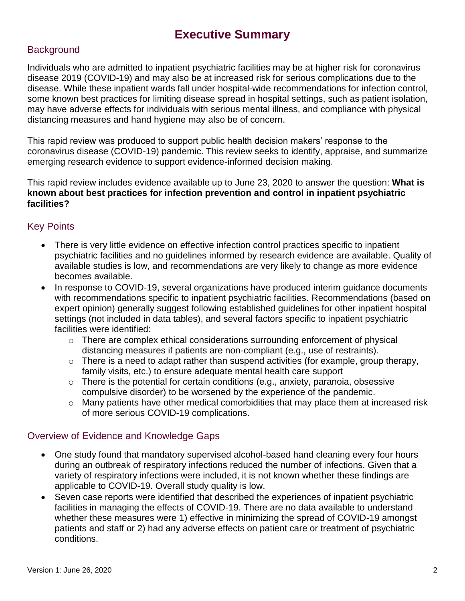### **Executive Summary**

#### **Background**

Individuals who are admitted to inpatient psychiatric facilities may be at higher risk for coronavirus disease 2019 (COVID-19) and may also be at increased risk for serious complications due to the disease. While these inpatient wards fall under hospital-wide recommendations for infection control, some known best practices for limiting disease spread in hospital settings, such as patient isolation, may have adverse effects for individuals with serious mental illness, and compliance with physical distancing measures and hand hygiene may also be of concern.

This rapid review was produced to support public health decision makers' response to the coronavirus disease (COVID-19) pandemic. This review seeks to identify, appraise, and summarize emerging research evidence to support evidence-informed decision making.

This rapid review includes evidence available up to June 23, 2020 to answer the question: **What is known about best practices for infection prevention and control in inpatient psychiatric facilities?**

#### Key Points

- There is very little evidence on effective infection control practices specific to inpatient psychiatric facilities and no guidelines informed by research evidence are available. Quality of available studies is low, and recommendations are very likely to change as more evidence becomes available.
- In response to COVID-19, several organizations have produced interim guidance documents with recommendations specific to inpatient psychiatric facilities. Recommendations (based on expert opinion) generally suggest following established guidelines for other inpatient hospital settings (not included in data tables), and several factors specific to inpatient psychiatric facilities were identified:
	- o There are complex ethical considerations surrounding enforcement of physical distancing measures if patients are non-compliant (e.g., use of restraints).
	- $\circ$  There is a need to adapt rather than suspend activities (for example, group therapy, family visits, etc.) to ensure adequate mental health care support
	- $\circ$  There is the potential for certain conditions (e.g., anxiety, paranoia, obsessive compulsive disorder) to be worsened by the experience of the pandemic.
	- $\circ$  Many patients have other medical comorbidities that may place them at increased risk of more serious COVID-19 complications.

#### Overview of Evidence and Knowledge Gaps

- One study found that mandatory supervised alcohol-based hand cleaning every four hours during an outbreak of respiratory infections reduced the number of infections. Given that a variety of respiratory infections were included, it is not known whether these findings are applicable to COVID-19. Overall study quality is low.
- Seven case reports were identified that described the experiences of inpatient psychiatric facilities in managing the effects of COVID-19. There are no data available to understand whether these measures were 1) effective in minimizing the spread of COVID-19 amongst patients and staff or 2) had any adverse effects on patient care or treatment of psychiatric conditions.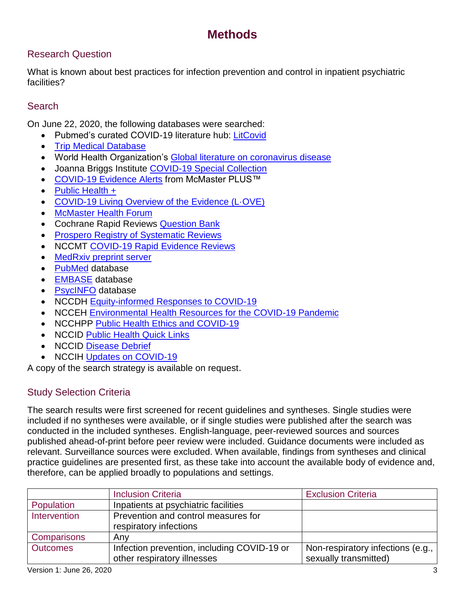### **Methods**

#### Research Question

What is known about best practices for infection prevention and control in inpatient psychiatric facilities?

#### **Search**

On June 22, 2020, the following databases were searched:

- Pubmed's curated COVID-19 literature hub: [LitCovid](https://res.nccmt.ca/2Tud6bf)
- [Trip Medical Database](https://res.nccmt.ca/2WWvsUK)
- World Health Organization's [Global literature on coronavirus disease](https://res.nccmt.ca/2ZpJCzf)
- Joanna Briggs Institute [COVID-19 Special Collection](https://res.nccmt.ca/36oRCSI)
- [COVID-19 Evidence Alerts](https://res.nccmt.ca/3bRLdjP) from McMaster PLUS™
- [Public Health +](https://res.nccmt.ca/3cTrFgg)
- [COVID-19 Living Overview of the Evidence \(L·OVE\)](https://res.nccmt.ca/2XjIwCt)
- [McMaster Health Forum](https://www.mcmasterforum.org/find-evidence/products/topic/?topic=All+health-+and+social-system+topics)
- Cochrane Rapid Reviews [Question Bank](https://res.nccmt.ca/3g73Wey)
- **[Prospero Registry of Systematic Reviews](https://res.nccmt.ca/3cVxMAR)**
- NCCMT [COVID-19 Rapid Evidence Reviews](https://res.nccmt.ca/3gg0PAX)
- [MedRxiv preprint server](https://www.medrxiv.org/)
- [PubMed](https://pubmed.ncbi.nlm.nih.gov/) database
- [EMBASE](https://www.embase.com/login) database
- [PsycINFO](https://www.apa.org/pubs/databases/psycinfo/) database
- NCCDH [Equity-informed Responses to COVID-19](http://nccdh.ca/our-work/covid-19)
- NCCEH [Environmental Health Resources for the COVID-19 Pandemic](https://ncceh.ca/environmental-health-in-canada/health-agency-projects/environmental-health-resources-covid-19)
- NCCHPP [Public Health Ethics and COVID-19](https://www.nccih.ca/485/NCCIH_in_the_News.nccih?id=450)
- NCCID [Public Health Quick Links](https://nccid.ca/coronavirus-quick-links/)
- NCCID [Disease Debrief](https://nccid.ca/2019-novel-coronavirus-outbreak/)
- NCCIH [Updates on COVID-19](https://www.nccih.ca/485/NCCIH_in_the_News.nccih?id=450)

A copy of the search strategy is available on request.

#### Study Selection Criteria

The search results were first screened for recent guidelines and syntheses. Single studies were included if no syntheses were available, or if single studies were published after the search was conducted in the included syntheses. English-language, peer-reviewed sources and sources published ahead-of-print before peer review were included. Guidance documents were included as relevant. Surveillance sources were excluded. When available, findings from syntheses and clinical practice guidelines are presented first, as these take into account the available body of evidence and, therefore, can be applied broadly to populations and settings.

|                   | <b>Inclusion Criteria</b>                                                  | <b>Exclusion Criteria</b>                                  |
|-------------------|----------------------------------------------------------------------------|------------------------------------------------------------|
| <b>Population</b> | Inpatients at psychiatric facilities                                       |                                                            |
| Intervention      | Prevention and control measures for<br>respiratory infections              |                                                            |
| Comparisons       | Any                                                                        |                                                            |
| <b>Outcomes</b>   | Infection prevention, including COVID-19 or<br>other respiratory illnesses | Non-respiratory infections (e.g.,<br>sexually transmitted) |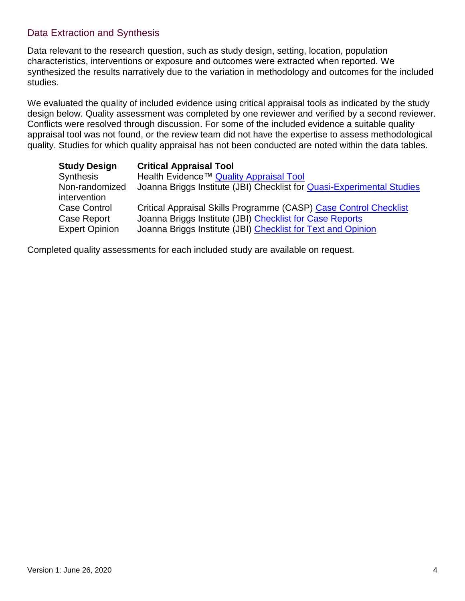#### Data Extraction and Synthesis

Data relevant to the research question, such as study design, setting, location, population characteristics, interventions or exposure and outcomes were extracted when reported. We synthesized the results narratively due to the variation in methodology and outcomes for the included studies.

We evaluated the quality of included evidence using critical appraisal tools as indicated by the study design below. Quality assessment was completed by one reviewer and verified by a second reviewer. Conflicts were resolved through discussion. For some of the included evidence a suitable quality appraisal tool was not found, or the review team did not have the expertise to assess methodological quality. Studies for which quality appraisal has not been conducted are noted within the data tables.

| <b>Study Design</b>                  | <b>Critical Appraisal Tool</b>                                                                                           |
|--------------------------------------|--------------------------------------------------------------------------------------------------------------------------|
| <b>Synthesis</b>                     | Health Evidence™ Quality Appraisal Tool                                                                                  |
| Non-randomized<br>intervention       | Joanna Briggs Institute (JBI) Checklist for Quasi-Experimental Studies                                                   |
| <b>Case Control</b>                  | Critical Appraisal Skills Programme (CASP) Case Control Checklist                                                        |
| Case Report<br><b>Expert Opinion</b> | Joanna Briggs Institute (JBI) Checklist for Case Reports<br>Joanna Briggs Institute (JBI) Checklist for Text and Opinion |

Completed quality assessments for each included study are available on request.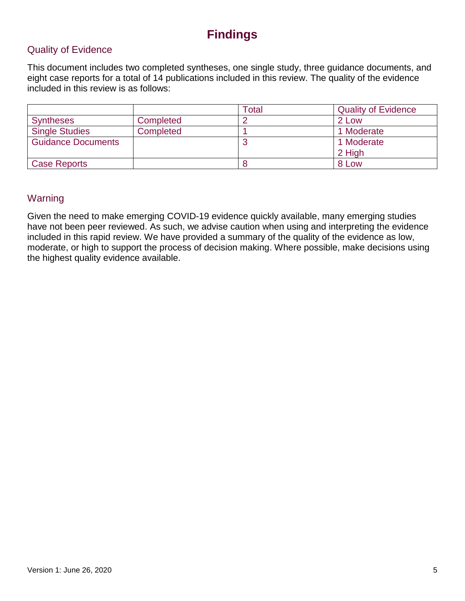### **Findings**

#### Quality of Evidence

This document includes two completed syntheses, one single study, three guidance documents, and eight case reports for a total of 14 publications included in this review. The quality of the evidence included in this review is as follows:

|                           |           | Total | <b>Quality of Evidence</b> |
|---------------------------|-----------|-------|----------------------------|
| <b>Syntheses</b>          | Completed |       | 2 Low                      |
| <b>Single Studies</b>     | Completed |       | 1 Moderate                 |
| <b>Guidance Documents</b> |           |       | 1 Moderate                 |
|                           |           |       | 2 High                     |
| <b>Case Reports</b>       |           |       | 8 Low                      |

#### Warning

Given the need to make emerging COVID-19 evidence quickly available, many emerging studies have not been peer reviewed. As such, we advise caution when using and interpreting the evidence included in this rapid review. We have provided a summary of the quality of the evidence as low, moderate, or high to support the process of decision making. Where possible, make decisions using the highest quality evidence available.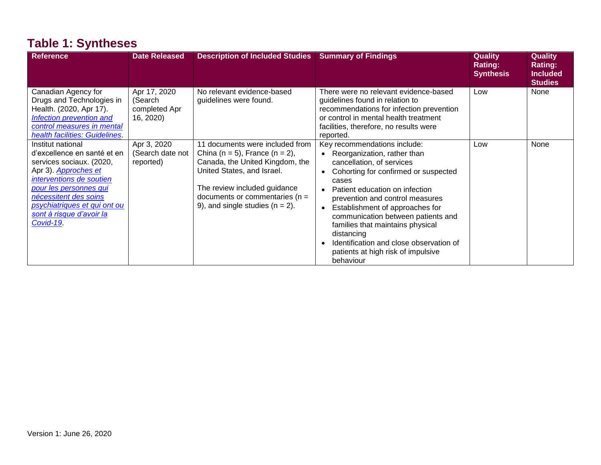# **Table 1: Syntheses**

| <b>Reference</b>                                                                                                                                                                                                                                            | <b>Date Released</b>                                  | <b>Description of Included Studies</b>                                                                                                                                                                                                        | <b>Summary of Findings</b>                                                                                                                                                                                                                                                                                                                                                                                                                                                                  | <b>Quality</b><br>Rating:<br><b>Synthesis</b> | <b>Quality</b><br>Rating:<br><b>Included</b><br><b>Studies</b> |
|-------------------------------------------------------------------------------------------------------------------------------------------------------------------------------------------------------------------------------------------------------------|-------------------------------------------------------|-----------------------------------------------------------------------------------------------------------------------------------------------------------------------------------------------------------------------------------------------|---------------------------------------------------------------------------------------------------------------------------------------------------------------------------------------------------------------------------------------------------------------------------------------------------------------------------------------------------------------------------------------------------------------------------------------------------------------------------------------------|-----------------------------------------------|----------------------------------------------------------------|
| Canadian Agency for<br>Drugs and Technologies in<br>Health. (2020, Apr 17).<br><b>Infection prevention and</b><br>control measures in mental<br>health facilities: Guidelines.                                                                              | Apr 17, 2020<br>(Search<br>completed Apr<br>16, 2020) | No relevant evidence-based<br>guidelines were found.                                                                                                                                                                                          | There were no relevant evidence-based<br>guidelines found in relation to<br>recommendations for infection prevention<br>or control in mental health treatment<br>facilities, therefore, no results were<br>reported.                                                                                                                                                                                                                                                                        | Low                                           | None                                                           |
| Institut national<br>d'excellence en santé et en<br>services sociaux. (2020,<br>Apr 3). Approches et<br>interventions de soutien<br>pour les personnes qui<br>nécessitent des soins<br>psychiatriques et qui ont ou<br>sont à risque d'avoir la<br>Covid-19 | Apr 3, 2020<br>(Search date not<br>reported)          | 11 documents were included from<br>China (n = 5), France (n = 2),<br>Canada, the United Kingdom, the<br>United States, and Israel.<br>The review included guidance<br>documents or commentaries ( $n =$<br>9), and single studies $(n = 2)$ . | Key recommendations include:<br>Reorganization, rather than<br>cancellation, of services<br>Cohorting for confirmed or suspected<br>$\bullet$<br>cases<br>Patient education on infection<br>$\bullet$<br>prevention and control measures<br>Establishment of approaches for<br>$\bullet$<br>communication between patients and<br>families that maintains physical<br>distancing<br>Identification and close observation of<br>$\bullet$<br>patients at high risk of impulsive<br>behaviour | Low                                           | None                                                           |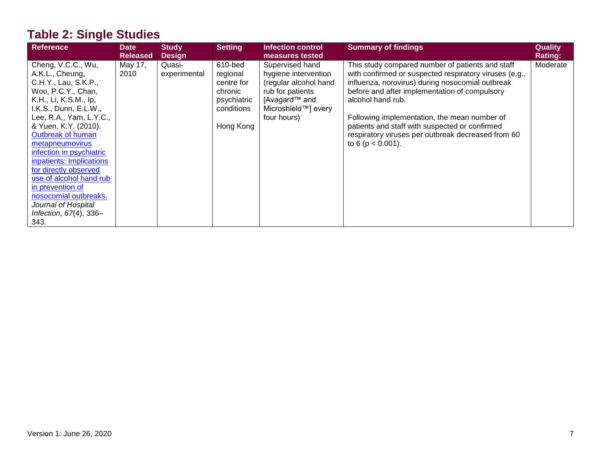# **Table 2: Single Studies**

| Reference                                                                                                                                                                                                                                                                                                         | <b>Date</b><br><b>Released</b> | <b>Study</b><br><b>Design</b> | <b>Setting</b>                                                                         | Infection control<br>measures tested                                                                                                        | <b>Summary of findings</b>                                                                                                                                                                                                                                                                                                                                                                                            | <b>Quality</b><br><b>Rating:</b> |
|-------------------------------------------------------------------------------------------------------------------------------------------------------------------------------------------------------------------------------------------------------------------------------------------------------------------|--------------------------------|-------------------------------|----------------------------------------------------------------------------------------|---------------------------------------------------------------------------------------------------------------------------------------------|-----------------------------------------------------------------------------------------------------------------------------------------------------------------------------------------------------------------------------------------------------------------------------------------------------------------------------------------------------------------------------------------------------------------------|----------------------------------|
| Cheng, V.C.C., Wu,<br>A.K.L., Cheung,<br>C.H.Y., Lau, S.K.P.,<br>Woo, P.C.Y., Chan,<br>K.H., Li, K.S.M., lp,<br>I.K.S., Dunn, E.L.W.,<br>Lee, R.A., Yam, L.Y.C.,<br>& Yuen, K.Y. (2010).<br>Outbreak of human<br>metapneumovirus<br>infection in psychiatric<br>inpatients: Implications<br>for directly observed | May 17,<br>2010                | Quasi-<br>experimental        | 610-bed<br>regional<br>centre for<br>chronic<br>psychiatric<br>conditions<br>Hong Kong | Supervised hand<br>hygiene intervention<br>(regular alcohol hand<br>rub for patients<br>[Avagard™ and<br>Microshield™] every<br>four hours) | This study compared number of patients and staff<br>with confirmed or suspected respiratory viruses (e.g.,<br>influenza, norovirus) during nosocomial outbreak<br>before and after implementation of compulsory<br>alcohol hand rub.<br>Following implementation, the mean number of<br>patients and staff with suspected or confirmed<br>respiratory viruses per outbreak decreased from 60<br>to 6 ( $p < 0.001$ ). | Moderate                         |
| use of alcohol hand rub<br>in prevention of<br>nosocomial outbreaks.<br>Journal of Hospital<br>Infection, $67(4)$ , 336-<br>343.                                                                                                                                                                                  |                                |                               |                                                                                        |                                                                                                                                             |                                                                                                                                                                                                                                                                                                                                                                                                                       |                                  |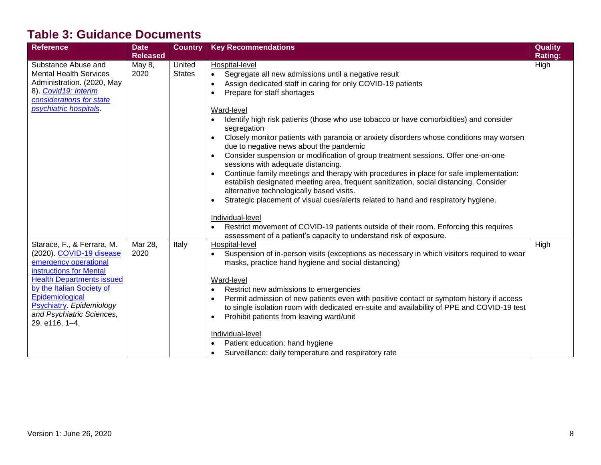### **Table 3: Guidance Documents**

| <b>Reference</b>                                                                                                                                                                                                                                                          | <b>Date</b>                       | <b>Country</b>          | <b>Key Recommendations</b>                                                                                                                                                                                                                                                                                                                                                                                                                                                                                                                                                                                                                                                                                                                             | <b>Quality</b>  |
|---------------------------------------------------------------------------------------------------------------------------------------------------------------------------------------------------------------------------------------------------------------------------|-----------------------------------|-------------------------|--------------------------------------------------------------------------------------------------------------------------------------------------------------------------------------------------------------------------------------------------------------------------------------------------------------------------------------------------------------------------------------------------------------------------------------------------------------------------------------------------------------------------------------------------------------------------------------------------------------------------------------------------------------------------------------------------------------------------------------------------------|-----------------|
| Substance Abuse and<br><b>Mental Health Services</b><br>Administration. (2020, May<br>8). Covid19: Interim<br>considerations for state<br>psychiatric hospitals.                                                                                                          | <b>Released</b><br>May 8,<br>2020 | United<br><b>States</b> | Hospital-level<br>Segregate all new admissions until a negative result<br>$\bullet$<br>Assign dedicated staff in caring for only COVID-19 patients<br>$\bullet$<br>Prepare for staff shortages<br>$\bullet$<br>Ward-level<br>Identify high risk patients (those who use tobacco or have comorbidities) and consider<br>$\bullet$                                                                                                                                                                                                                                                                                                                                                                                                                       | Rating:<br>High |
|                                                                                                                                                                                                                                                                           |                                   |                         | segregation<br>Closely monitor patients with paranoia or anxiety disorders whose conditions may worsen<br>$\bullet$<br>due to negative news about the pandemic<br>Consider suspension or modification of group treatment sessions. Offer one-on-one<br>sessions with adequate distancing.<br>Continue family meetings and therapy with procedures in place for safe implementation:<br>$\bullet$<br>establish designated meeting area, frequent sanitization, social distancing. Consider<br>alternative technologically based visits.<br>Strategic placement of visual cues/alerts related to hand and respiratory hygiene.<br>$\bullet$<br>Individual-level<br>Restrict movement of COVID-19 patients outside of their room. Enforcing this requires |                 |
| Starace, F., & Ferrara, M.<br>(2020). COVID-19 disease<br>emergency operational<br>instructions for Mental<br><b>Health Departments issued</b><br>by the Italian Society of<br>Epidemiological<br>Psychiatry. Epidemiology<br>and Psychiatric Sciences,<br>29, e116, 1-4. | Mar 28,<br>2020                   | Italy                   | assessment of a patient's capacity to understand risk of exposure.<br>Hospital-level<br>Suspension of in-person visits (exceptions as necessary in which visitors required to wear<br>$\bullet$<br>masks, practice hand hygiene and social distancing)<br>Ward-level<br>Restrict new admissions to emergencies<br>٠<br>Permit admission of new patients even with positive contact or symptom history if access<br>$\bullet$<br>to single isolation room with dedicated en-suite and availability of PPE and COVID-19 test<br>Prohibit patients from leaving ward/unit<br>$\bullet$<br>Individual-level<br>Patient education: hand hygiene<br>Surveillance: daily temperature and respiratory rate<br>$\bullet$                                        | High            |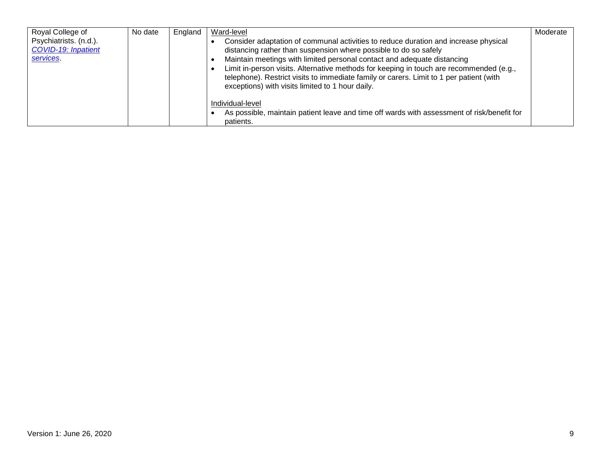| Royal College of<br>Psychiatrists. (n.d.).<br><b>COVID-19: Inpatient</b><br><b>services</b> | No date | England | Ward-level<br>Consider adaptation of communal activities to reduce duration and increase physical<br>distancing rather than suspension where possible to do so safely<br>Maintain meetings with limited personal contact and adequate distancing<br>Limit in-person visits. Alternative methods for keeping in touch are recommended (e.g.,<br>telephone). Restrict visits to immediate family or carers. Limit to 1 per patient (with<br>exceptions) with visits limited to 1 hour daily. | Moderate |
|---------------------------------------------------------------------------------------------|---------|---------|--------------------------------------------------------------------------------------------------------------------------------------------------------------------------------------------------------------------------------------------------------------------------------------------------------------------------------------------------------------------------------------------------------------------------------------------------------------------------------------------|----------|
|                                                                                             |         |         | Individual-level<br>As possible, maintain patient leave and time off wards with assessment of risk/benefit for<br>patients.                                                                                                                                                                                                                                                                                                                                                                |          |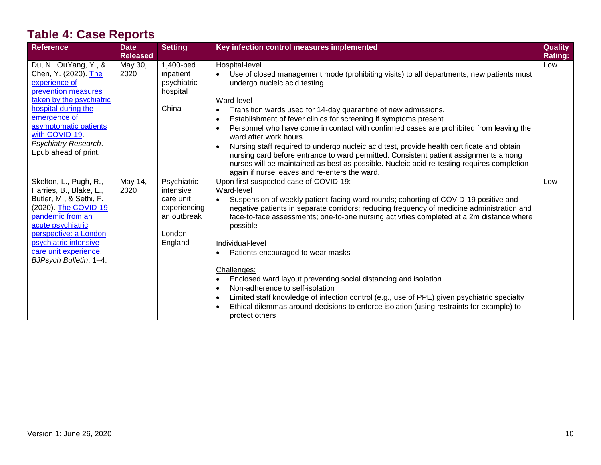# **Table 4: Case Reports**

| <b>Reference</b>                                                                                                                                                                                                                                   | <b>Date</b><br><b>Released</b> | <b>Setting</b>                                                                             | Key infection control measures implemented                                                                                                                                                                                                                                                                                                                                                                                                                                                                                                                                                                                                                                                                                                                                                                                                        | <b>Quality</b><br><b>Rating:</b> |
|----------------------------------------------------------------------------------------------------------------------------------------------------------------------------------------------------------------------------------------------------|--------------------------------|--------------------------------------------------------------------------------------------|---------------------------------------------------------------------------------------------------------------------------------------------------------------------------------------------------------------------------------------------------------------------------------------------------------------------------------------------------------------------------------------------------------------------------------------------------------------------------------------------------------------------------------------------------------------------------------------------------------------------------------------------------------------------------------------------------------------------------------------------------------------------------------------------------------------------------------------------------|----------------------------------|
| Du, N., OuYang, Y., &<br>Chen, Y. (2020). The<br>experience of                                                                                                                                                                                     | May 30,<br>2020                | 1,400-bed<br>inpatient<br>psychiatric                                                      | Hospital-level<br>Use of closed management mode (prohibiting visits) to all departments; new patients must<br>undergo nucleic acid testing.                                                                                                                                                                                                                                                                                                                                                                                                                                                                                                                                                                                                                                                                                                       | Low                              |
| prevention measures<br>taken by the psychiatric<br>hospital during the<br>emergence of<br>asymptomatic patients<br>with COVID-19<br>Psychiatry Research.<br>Epub ahead of print.                                                                   |                                | hospital<br>China                                                                          | Ward-level<br>Transition wards used for 14-day quarantine of new admissions.<br>Establishment of fever clinics for screening if symptoms present.<br>$\bullet$<br>Personnel who have come in contact with confirmed cases are prohibited from leaving the<br>$\bullet$<br>ward after work hours.<br>Nursing staff required to undergo nucleic acid test, provide health certificate and obtain<br>nursing card before entrance to ward permitted. Consistent patient assignments among<br>nurses will be maintained as best as possible. Nucleic acid re-testing requires completion                                                                                                                                                                                                                                                              |                                  |
| Skelton, L., Pugh, R.,<br>Harries, B., Blake, L.,<br>Butler, M., & Sethi, F.<br>(2020). The COVID-19<br>pandemic from an<br>acute psychiatric<br>perspective: a London<br>psychiatric intensive<br>care unit experience.<br>BJPsych Bulletin, 1-4. | May 14,<br>2020                | Psychiatric<br>intensive<br>care unit<br>experiencing<br>an outbreak<br>London,<br>England | again if nurse leaves and re-enters the ward.<br>Upon first suspected case of COVID-19:<br>Ward-level<br>Suspension of weekly patient-facing ward rounds; cohorting of COVID-19 positive and<br>$\bullet$<br>negative patients in separate corridors; reducing frequency of medicine administration and<br>face-to-face assessments; one-to-one nursing activities completed at a 2m distance where<br>possible<br>Individual-level<br>Patients encouraged to wear masks<br>Challenges:<br>Enclosed ward layout preventing social distancing and isolation<br>$\bullet$<br>Non-adherence to self-isolation<br>$\bullet$<br>Limited staff knowledge of infection control (e.g., use of PPE) given psychiatric specialty<br>$\bullet$<br>Ethical dilemmas around decisions to enforce isolation (using restraints for example) to<br>protect others | Low                              |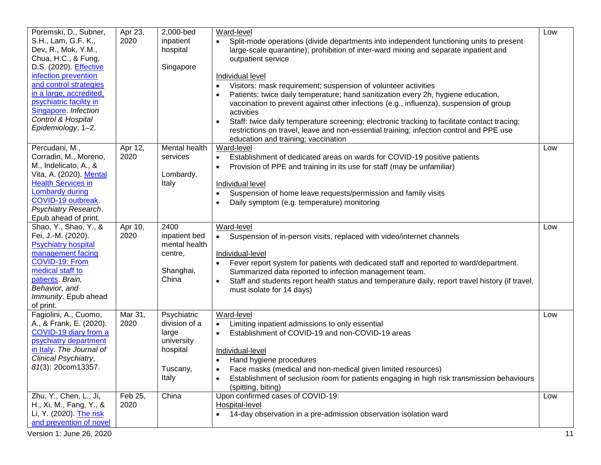| Poremski, D., Subner,<br>S.H., Lam, G.F. K.,<br>Dev, R., Mok, Y.M.,<br>Chua, H.C., & Fung,<br>D.S. (2020). Effective<br>infection prevention<br>and control strategies<br>in a large, accredited,<br>psychiatric facility in<br>Singapore. Infection<br>Control & Hospital<br>Epidemiology, 1-2. | Apr 23,<br>2020              | 2,000-bed<br>inpatient<br>hospital<br>Singapore                                      | Ward-level<br>Split-mode operations (divide departments into independent functioning units to present<br>$\bullet$<br>large-scale quarantine); prohibition of inter-ward mixing and separate inpatient and<br>outpatient service<br>Individual level<br>Visitors: mask requirement; suspension of volunteer activities<br>Patients: twice daily temperature; hand sanitization every 2h, hygiene education,<br>vaccination to prevent against other infections (e.g., influenza), suspension of group<br>activities<br>Staff: twice daily temperature screening; electronic tracking to facilitate contact tracing;<br>$\bullet$<br>restrictions on travel, leave and non-essential training; infection control and PPE use<br>education and training; vaccination | Low       |
|--------------------------------------------------------------------------------------------------------------------------------------------------------------------------------------------------------------------------------------------------------------------------------------------------|------------------------------|--------------------------------------------------------------------------------------|--------------------------------------------------------------------------------------------------------------------------------------------------------------------------------------------------------------------------------------------------------------------------------------------------------------------------------------------------------------------------------------------------------------------------------------------------------------------------------------------------------------------------------------------------------------------------------------------------------------------------------------------------------------------------------------------------------------------------------------------------------------------|-----------|
| Percudani, M.,<br>Corradin, M., Moreno,<br>M., Indelicato, A., &<br>Vita, A. (2020). Mental<br><b>Health Services in</b><br><b>Lombardy during</b><br>COVID-19 outbreak.<br>Psychiatry Research.<br>Epub ahead of print.                                                                         | Apr 12,<br>2020              | Mental health<br>services<br>Lombardy,<br>Italy                                      | Ward-level<br>Establishment of dedicated areas on wards for COVID-19 positive patients<br>$\bullet$<br>Provision of PPE and training in its use for staff (may be unfamiliar)<br>Individual level<br>Suspension of home leave requests/permission and family visits<br>Daily symptom (e.g. temperature) monitoring                                                                                                                                                                                                                                                                                                                                                                                                                                                 | Low       |
| Shao, Y., Shao, Y., &<br>Fei, J.-M. (2020).<br><b>Psychiatry hospital</b><br>management facing<br>COVID-19: From<br>medical staff to<br>patients. Brain,<br>Behavior, and<br>Immunity. Epub ahead<br>of print.                                                                                   | Apr 10,<br>2020              | 2400<br>inpatient bed<br>mental health<br>centre,<br>Shanghai,<br>China              | Ward-level<br>Suspension of in-person visits, replaced with video/internet channels<br>Individual-level<br>Fever report system for patients with dedicated staff and reported to ward/department.<br>Summarized data reported to infection management team.<br>Staff and students report health status and temperature daily, report travel history (if travel,<br>must isolate for 14 days)                                                                                                                                                                                                                                                                                                                                                                       | Low       |
| Fagiolini, A., Cuomo,<br>A., & Frank, E. (2020).<br>COVID-19 diary from a<br>psychiatry department<br>in Italy. The Journal of<br>Clinical Psychiatry,<br>81(3): 20com13357.                                                                                                                     | Mar 31,<br>2020              | Psychiatric<br>division of a<br>large<br>university<br>hospital<br>Tuscany,<br>Italy | Ward-level<br>Limiting inpatient admissions to only essential<br>$\bullet$<br>Establishment of COVID-19 and non-COVID-19 areas<br>Individual-level<br>Hand hygiene procedures<br>Face masks (medical and non-medical given limited resources)<br>Establishment of seclusion room for patients engaging in high risk transmission behaviours<br>(spitting, biting)                                                                                                                                                                                                                                                                                                                                                                                                  | Low       |
| Zhu, Y., Chen, L., Ji,<br>H., Xi, M., Fang, Y., &<br>Li, Y. (2020). The risk<br>and prevention of novel<br>Version 1: June 26, 2020                                                                                                                                                              | $\overline{Fe}b$ 25,<br>2020 | China                                                                                | Upon confirmed cases of COVID-19:<br>Hospital-level<br>14-day observation in a pre-admission observation isolation ward                                                                                                                                                                                                                                                                                                                                                                                                                                                                                                                                                                                                                                            | Low<br>11 |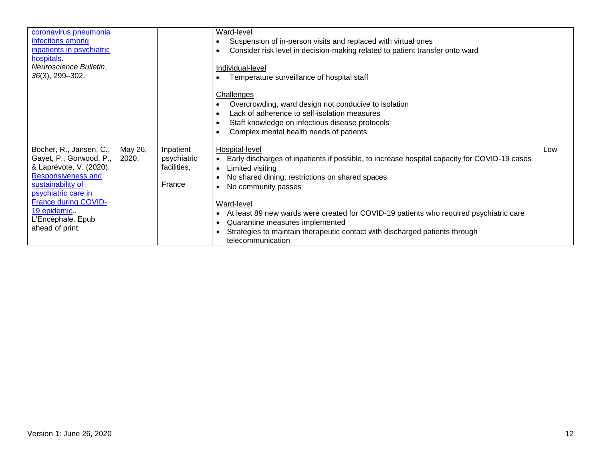| coronavirus pneumonia<br>infections among<br>inpatients in psychiatric<br>hospitals.<br>Neuroscience Bulletin,<br>$36(3)$ , 299-302.                                                                                                         |                  |                                                   | Ward-level<br>Suspension of in-person visits and replaced with virtual ones<br>Consider risk level in decision-making related to patient transfer onto ward<br>Individual-level<br>Temperature surveillance of hospital staff<br>Challenges<br>Overcrowding, ward design not conducive to isolation<br>Lack of adherence to self-isolation measures<br>Staff knowledge on infectious disease protocols<br>Complex mental health needs of patients                             |     |
|----------------------------------------------------------------------------------------------------------------------------------------------------------------------------------------------------------------------------------------------|------------------|---------------------------------------------------|-------------------------------------------------------------------------------------------------------------------------------------------------------------------------------------------------------------------------------------------------------------------------------------------------------------------------------------------------------------------------------------------------------------------------------------------------------------------------------|-----|
| Bocher, R., Jansen, C.,<br>Gayet, P., Gorwood, P.,<br>& Laprévote, V. (2020).<br><b>Responsiveness and</b><br>sustainability of<br>psychiatric care in<br><b>France during COVID-</b><br>19 epidemic<br>L'Encéphale. Epub<br>ahead of print. | May 26,<br>2020, | Inpatient<br>psychiatric<br>facilities,<br>France | Hospital-level<br>Early discharges of inpatients if possible, to increase hospital capacity for COVID-19 cases<br>Limited visiting<br>$\bullet$<br>No shared dining; restrictions on shared spaces<br>No community passes<br>Ward-level<br>At least 89 new wards were created for COVID-19 patients who required psychiatric care<br>٠<br>Quarantine measures implemented<br>Strategies to maintain therapeutic contact with discharged patients through<br>telecommunication | Low |